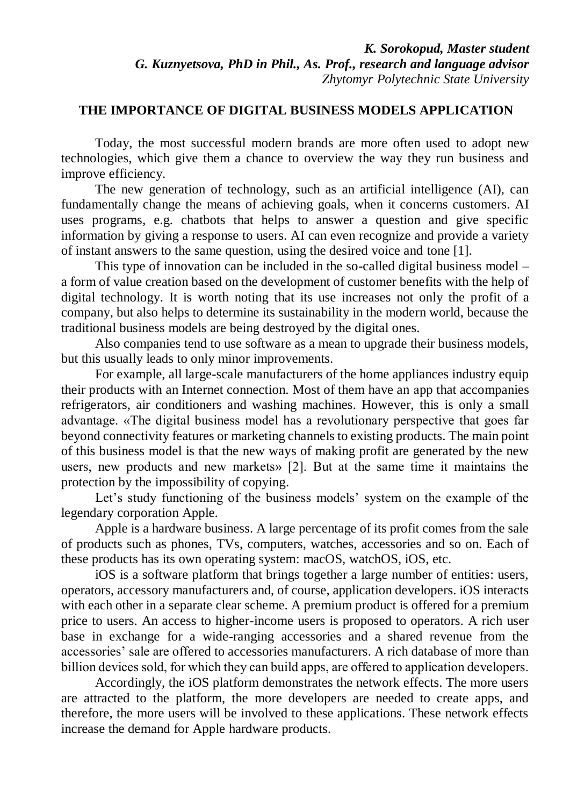## **THE IMPORTANCE OF DIGITAL BUSINESS MODELS APPLICATION**

Today, the most successful modern brands are more often used to adopt new technologies, which give them a chance to overview the way they run business and improve efficiency.

The new generation of technology, such as an artificial intelligence (AI), can fundamentally change the means of achieving goals, when it concerns customers. AI uses programs, e.g. chatbots that helps to answer a question and give specific information by giving a response to users. AI can even recognize and provide a variety of instant answers to the same question, using the desired voice and tone [1].

This type of innovation can be included in the so-called digital business model – a form of value creation based on the development of customer benefits with the help of digital technology. It is worth noting that its use increases not only the profit of a company, but also helps to determine its sustainability in the modern world, because the traditional business models are being destroyed by the digital ones.

Also companies tend to use software as a mean to upgrade their business models, but this usually leads to only minor improvements.

For example, all large-scale manufacturers of the home appliances industry equip their products with an Internet connection. Most of them have an аpp that accompanies refrigerators, air conditioners and washing machines. However, this is only a small advantage. «The digital business model has a revolutionary perspective that goes far beyond connectivity features or marketing channels to existing products. The main point of this business model is that the new ways of making profit are generated by the new users, new products and new markets» [2]. But at the same time it maintains the protection by the impossibility of copying.

Let's study functioning of the business models' system on the example of the legendary corporation Apple.

Apple is a hardware business. A large percentage of its profit comes from the sale of products such as phones, TVs, computers, watches, accessories and so on. Each of these products has its own operating system: macOS, watchOS, iOS, etc.

iOS is a software platform that brings together a large number of entities: users, operators, accessory manufacturers and, of course, application developers. iOS interacts with each other in a separate clear scheme. A premium product is offered for a premium price to users. An access to higher-income users is proposed to operators. A rich user base in exchange for a wide-ranging accessories and a shared revenue from the accessories' sale are offered to accessories manufacturers. A rich database of more than billion devices sold, for which they can build apps, are offered to аpplication developers.

Accordingly, the iOS platform demonstrates the network effects. The more users are attracted to the platform, the more developers are needed to create apps, and therefore, the more users will be involved to these applications. These network effects increase the demand for Apple hardware products.